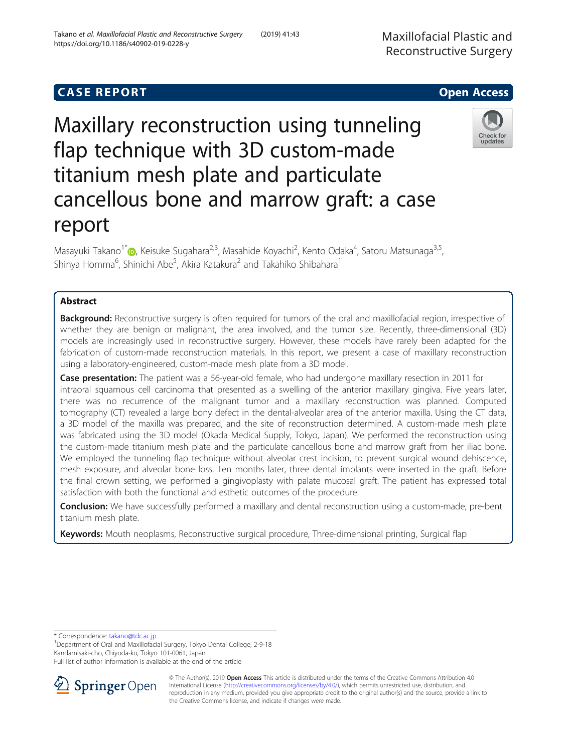# **CASE REPORT And SERVICE SERVICE SERVICE SERVICE SERVICE SERVICE SERVICE SERVICE SERVICE SERVICE SERVICE SERVICE**

# Maxillary reconstruction using tunneling flap technique with 3D custom-made titanium mesh plate and particulate cancellous bone and marrow graft: a case report

Masayuki Takano<sup>1\*</sup>®[,](http://orcid.org/0000-0003-3971-5276) Keisuke Sugahara<sup>2,3</sup>, Masahide Koyachi<sup>2</sup>, Kento Odaka<sup>4</sup>, Satoru Matsunaga<sup>3,5</sup>, Shinya Homma<sup>6</sup>, Shinichi Abe<sup>5</sup>, Akira Katakura<sup>2</sup> and Takahiko Shibahara<sup>1</sup>

# Abstract

Background: Reconstructive surgery is often required for tumors of the oral and maxillofacial region, irrespective of whether they are benign or malignant, the area involved, and the tumor size. Recently, three-dimensional (3D) models are increasingly used in reconstructive surgery. However, these models have rarely been adapted for the fabrication of custom-made reconstruction materials. In this report, we present a case of maxillary reconstruction using a laboratory-engineered, custom-made mesh plate from a 3D model.

Case presentation: The patient was a 56-year-old female, who had undergone maxillary resection in 2011 for intraoral squamous cell carcinoma that presented as a swelling of the anterior maxillary gingiva. Five years later, there was no recurrence of the malignant tumor and a maxillary reconstruction was planned. Computed tomography (CT) revealed a large bony defect in the dental-alveolar area of the anterior maxilla. Using the CT data, a 3D model of the maxilla was prepared, and the site of reconstruction determined. A custom-made mesh plate was fabricated using the 3D model (Okada Medical Supply, Tokyo, Japan). We performed the reconstruction using the custom-made titanium mesh plate and the particulate cancellous bone and marrow graft from her iliac bone. We employed the tunneling flap technique without alveolar crest incision, to prevent surgical wound dehiscence, mesh exposure, and alveolar bone loss. Ten months later, three dental implants were inserted in the graft. Before the final crown setting, we performed a gingivoplasty with palate mucosal graft. The patient has expressed total satisfaction with both the functional and esthetic outcomes of the procedure.

**Conclusion:** We have successfully performed a maxillary and dental reconstruction using a custom-made, pre-bent titanium mesh plate.

Keywords: Mouth neoplasms, Reconstructive surgical procedure, Three-dimensional printing, Surgical flap

\* Correspondence: [takano@tdc.ac.jp](mailto:takano@tdc.ac.jp) <sup>1</sup>

<sup>1</sup>Department of Oral and Maxillofacial Surgery, Tokyo Dental College, 2-9-18 Kandamisaki-cho, Chiyoda-ku, Tokyo 101-0061, Japan

Full list of author information is available at the end of the article





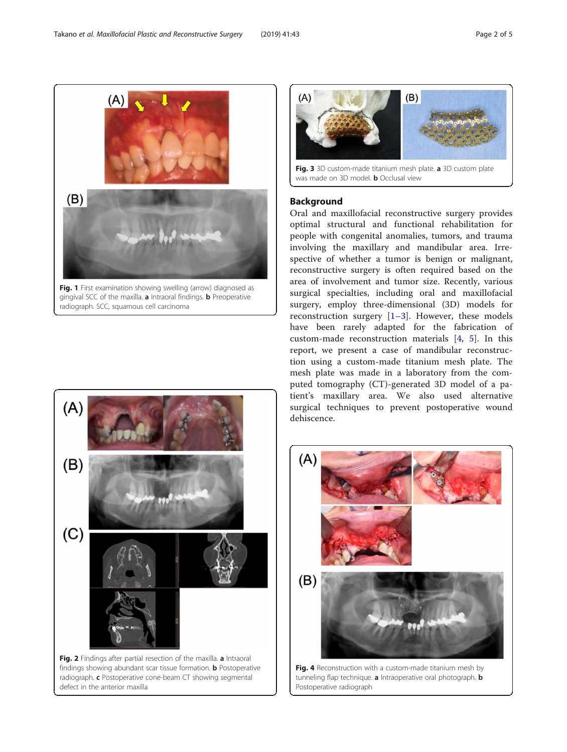Fig. 1 First examination showing swelling (arrow) diagnosed as gingival SCC of the maxilla. a Intraoral findings. **b** Preoperative radiograph. SCC, squamous cell carcinoma



```
Background
Fig. 3 3D custom-made titanium mesh plate. a 3D custom plate
was made on 3D model. b Occlusal view
```
 $(B)$ 

 $(A)$ 

 $(A)$ 

Oral and maxillofacial reconstructive surgery provides optimal structural and functional rehabilitation for people with congenital anomalies, tumors, and trauma involving the maxillary and mandibular area. Irrespective of whether a tumor is benign or malignant, reconstructive surgery is often required based on the area of involvement and tumor size. Recently, various surgical specialties, including oral and maxillofacial surgery, employ three-dimensional (3D) models for reconstruction surgery [\[1](#page-4-0)–[3](#page-4-0)]. However, these models have been rarely adapted for the fabrication of custom-made reconstruction materials [\[4](#page-4-0), [5\]](#page-4-0). In this report, we present a case of mandibular reconstruction using a custom-made titanium mesh plate. The mesh plate was made in a laboratory from the computed tomography (CT)-generated 3D model of a patient's maxillary area. We also used alternative surgical techniques to prevent postoperative wound dehiscence.



<span id="page-1-0"></span> $(A)$ 

 $(B)$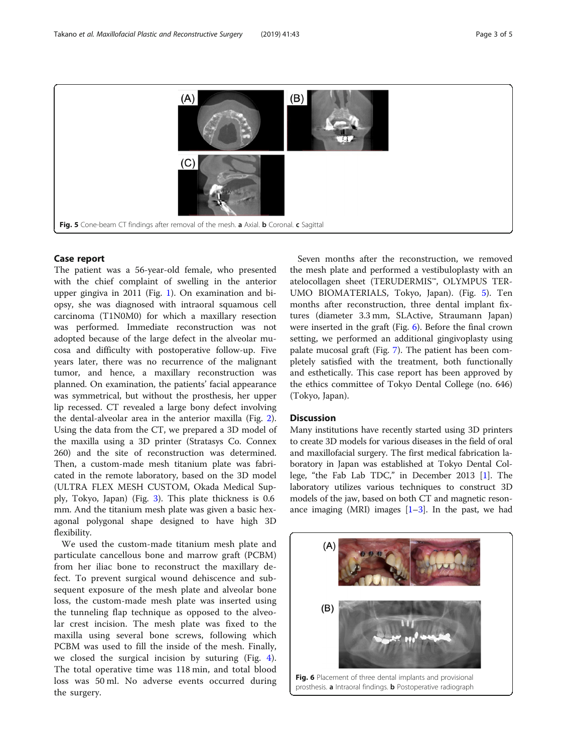

### Case report

The patient was a 56-year-old female, who presented with the chief complaint of swelling in the anterior upper gingiva in 2011 (Fig. [1](#page-1-0)). On examination and biopsy, she was diagnosed with intraoral squamous cell carcinoma (T1N0M0) for which a maxillary resection was performed. Immediate reconstruction was not adopted because of the large defect in the alveolar mucosa and difficulty with postoperative follow-up. Five years later, there was no recurrence of the malignant tumor, and hence, a maxillary reconstruction was planned. On examination, the patients' facial appearance was symmetrical, but without the prosthesis, her upper lip recessed. CT revealed a large bony defect involving the dental-alveolar area in the anterior maxilla (Fig. [2](#page-1-0)). Using the data from the CT, we prepared a 3D model of the maxilla using a 3D printer (Stratasys Co. Connex 260) and the site of reconstruction was determined. Then, a custom-made mesh titanium plate was fabricated in the remote laboratory, based on the 3D model (ULTRA FLEX MESH CUSTOM, Okada Medical Supply, Tokyo, Japan) (Fig. [3](#page-1-0)). This plate thickness is 0.6 mm. And the titanium mesh plate was given a basic hexagonal polygonal shape designed to have high 3D flexibility.

We used the custom-made titanium mesh plate and particulate cancellous bone and marrow graft (PCBM) from her iliac bone to reconstruct the maxillary defect. To prevent surgical wound dehiscence and subsequent exposure of the mesh plate and alveolar bone loss, the custom-made mesh plate was inserted using the tunneling flap technique as opposed to the alveolar crest incision. The mesh plate was fixed to the maxilla using several bone screws, following which PCBM was used to fill the inside of the mesh. Finally, we closed the surgical incision by suturing (Fig. [4](#page-1-0)). The total operative time was 118 min, and total blood loss was 50 ml. No adverse events occurred during the surgery.

Seven months after the reconstruction, we removed the mesh plate and performed a vestibuloplasty with an atelocollagen sheet (TERUDERMIS™, OLYMPUS TER-UMO BIOMATERIALS, Tokyo, Japan). (Fig. 5). Ten months after reconstruction, three dental implant fixtures (diameter 3.3 mm, SLActive, Straumann Japan) were inserted in the graft (Fig. 6). Before the final crown setting, we performed an additional gingivoplasty using palate mucosal graft (Fig. [7\)](#page-3-0). The patient has been completely satisfied with the treatment, both functionally and esthetically. This case report has been approved by the ethics committee of Tokyo Dental College (no. 646) (Tokyo, Japan).

#### **Discussion**

Many institutions have recently started using 3D printers to create 3D models for various diseases in the field of oral and maxillofacial surgery. The first medical fabrication laboratory in Japan was established at Tokyo Dental College, "the Fab Lab TDC," in December 2013 [\[1](#page-4-0)]. The laboratory utilizes various techniques to construct 3D models of the jaw, based on both CT and magnetic resonance imaging (MRI) images  $[1-3]$  $[1-3]$  $[1-3]$  $[1-3]$  $[1-3]$ . In the past, we had

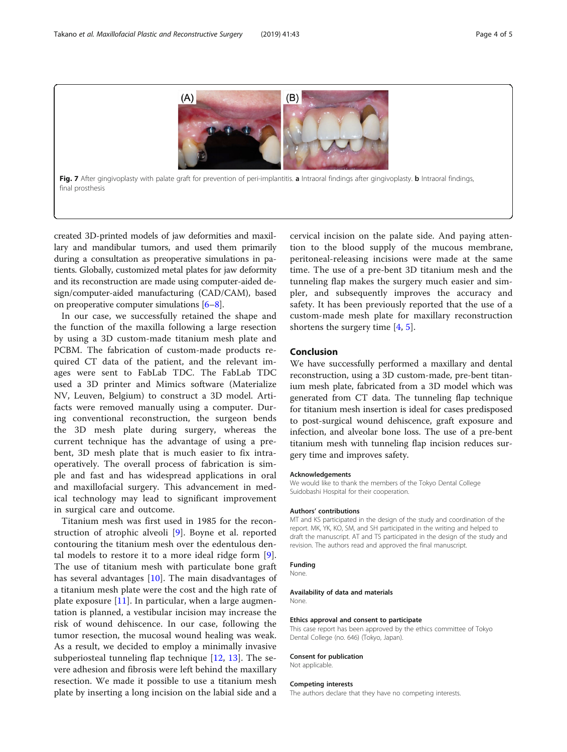<span id="page-3-0"></span>

Fig. 7 After gingivoplasty with palate graft for prevention of peri-implantitis. a Intraoral findings after gingivoplasty. b Intraoral findings, final prosthesis

created 3D-printed models of jaw deformities and maxillary and mandibular tumors, and used them primarily during a consultation as preoperative simulations in patients. Globally, customized metal plates for jaw deformity and its reconstruction are made using computer-aided design/computer-aided manufacturing (CAD/CAM), based on preoperative computer simulations [\[6](#page-4-0)–[8](#page-4-0)].

In our case, we successfully retained the shape and the function of the maxilla following a large resection by using a 3D custom-made titanium mesh plate and PCBM. The fabrication of custom-made products required CT data of the patient, and the relevant images were sent to FabLab TDC. The FabLab TDC used a 3D printer and Mimics software (Materialize NV, Leuven, Belgium) to construct a 3D model. Artifacts were removed manually using a computer. During conventional reconstruction, the surgeon bends the 3D mesh plate during surgery, whereas the current technique has the advantage of using a prebent, 3D mesh plate that is much easier to fix intraoperatively. The overall process of fabrication is simple and fast and has widespread applications in oral and maxillofacial surgery. This advancement in medical technology may lead to significant improvement in surgical care and outcome.

Titanium mesh was first used in 1985 for the reconstruction of atrophic alveoli [\[9](#page-4-0)]. Boyne et al. reported contouring the titanium mesh over the edentulous dental models to restore it to a more ideal ridge form [\[9](#page-4-0)]. The use of titanium mesh with particulate bone graft has several advantages [[10](#page-4-0)]. The main disadvantages of a titanium mesh plate were the cost and the high rate of plate exposure  $[11]$  $[11]$ . In particular, when a large augmentation is planned, a vestibular incision may increase the risk of wound dehiscence. In our case, following the tumor resection, the mucosal wound healing was weak. As a result, we decided to employ a minimally invasive subperiosteal tunneling flap technique [\[12](#page-4-0), [13\]](#page-4-0). The severe adhesion and fibrosis were left behind the maxillary resection. We made it possible to use a titanium mesh plate by inserting a long incision on the labial side and a cervical incision on the palate side. And paying attention to the blood supply of the mucous membrane, peritoneal-releasing incisions were made at the same time. The use of a pre-bent 3D titanium mesh and the tunneling flap makes the surgery much easier and simpler, and subsequently improves the accuracy and safety. It has been previously reported that the use of a custom-made mesh plate for maxillary reconstruction shortens the surgery time [\[4](#page-4-0), [5](#page-4-0)].

#### Conclusion

We have successfully performed a maxillary and dental reconstruction, using a 3D custom-made, pre-bent titanium mesh plate, fabricated from a 3D model which was generated from CT data. The tunneling flap technique for titanium mesh insertion is ideal for cases predisposed to post-surgical wound dehiscence, graft exposure and infection, and alveolar bone loss. The use of a pre-bent titanium mesh with tunneling flap incision reduces surgery time and improves safety.

#### Acknowledgements

We would like to thank the members of the Tokyo Dental College Suidobashi Hospital for their cooperation.

#### Authors' contributions

MT and KS participated in the design of the study and coordination of the report. MK, YK, KO, SM, and SH participated in the writing and helped to draft the manuscript. AT and TS participated in the design of the study and revision. The authors read and approved the final manuscript.

#### Funding

None.

#### Availability of data and materials

None.

#### Ethics approval and consent to participate

This case report has been approved by the ethics committee of Tokyo Dental College (no. 646) (Tokyo, Japan).

#### Consent for publication

Not applicable.

#### Competing interests

The authors declare that they have no competing interests.